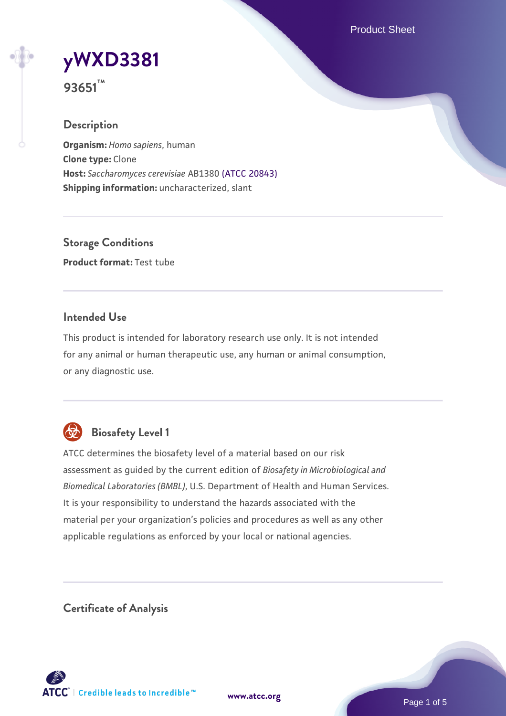Product Sheet

# **[yWXD3381](https://www.atcc.org/products/93651)**

**93651™**

## **Description**

**Organism:** *Homo sapiens*, human **Clone type:** Clone **Host:** *Saccharomyces cerevisiae* AB1380 [\(ATCC 20843\)](https://www.atcc.org/products/20843) **Shipping information:** uncharacterized, slant

**Storage Conditions Product format:** Test tube

## **Intended Use**

This product is intended for laboratory research use only. It is not intended for any animal or human therapeutic use, any human or animal consumption, or any diagnostic use.



## **Biosafety Level 1**

ATCC determines the biosafety level of a material based on our risk assessment as guided by the current edition of *Biosafety in Microbiological and Biomedical Laboratories (BMBL)*, U.S. Department of Health and Human Services. It is your responsibility to understand the hazards associated with the material per your organization's policies and procedures as well as any other applicable regulations as enforced by your local or national agencies.

**Certificate of Analysis**

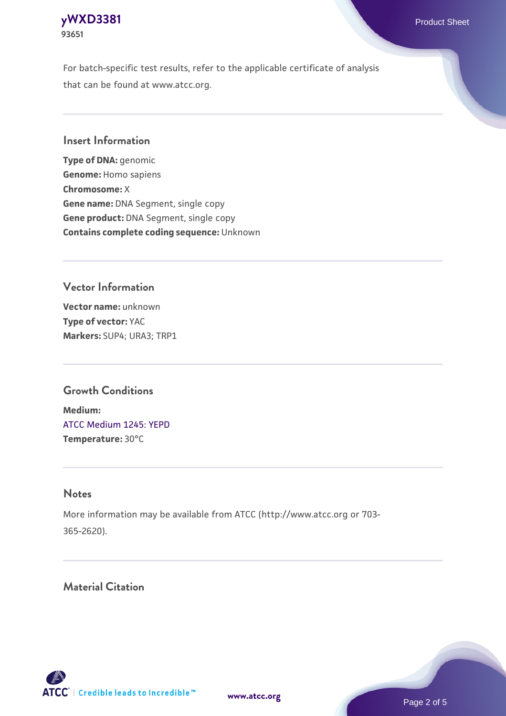## **[yWXD3381](https://www.atcc.org/products/93651)** Product Sheet **93651**

For batch-specific test results, refer to the applicable certificate of analysis that can be found at www.atcc.org.

## **Insert Information**

**Type of DNA:** genomic **Genome:** Homo sapiens **Chromosome:** X **Gene name:** DNA Segment, single copy **Gene product:** DNA Segment, single copy **Contains complete coding sequence:** Unknown

## **Vector Information**

**Vector name:** unknown **Type of vector:** YAC **Markers:** SUP4; URA3; TRP1

## **Growth Conditions**

**Medium:**  [ATCC Medium 1245: YEPD](https://www.atcc.org/-/media/product-assets/documents/microbial-media-formulations/1/2/4/5/atcc-medium-1245.pdf?rev=705ca55d1b6f490a808a965d5c072196) **Temperature:** 30°C

#### **Notes**

More information may be available from ATCC (http://www.atcc.org or 703- 365-2620).

## **Material Citation**



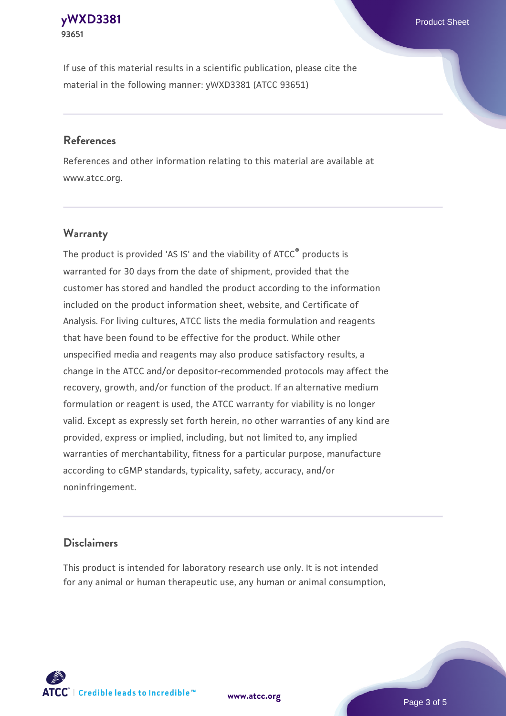#### **[yWXD3381](https://www.atcc.org/products/93651)** Product Sheet **93651**

If use of this material results in a scientific publication, please cite the material in the following manner: yWXD3381 (ATCC 93651)

#### **References**

References and other information relating to this material are available at www.atcc.org.

## **Warranty**

The product is provided 'AS IS' and the viability of  $ATCC<sup>®</sup>$  products is warranted for 30 days from the date of shipment, provided that the customer has stored and handled the product according to the information included on the product information sheet, website, and Certificate of Analysis. For living cultures, ATCC lists the media formulation and reagents that have been found to be effective for the product. While other unspecified media and reagents may also produce satisfactory results, a change in the ATCC and/or depositor-recommended protocols may affect the recovery, growth, and/or function of the product. If an alternative medium formulation or reagent is used, the ATCC warranty for viability is no longer valid. Except as expressly set forth herein, no other warranties of any kind are provided, express or implied, including, but not limited to, any implied warranties of merchantability, fitness for a particular purpose, manufacture according to cGMP standards, typicality, safety, accuracy, and/or noninfringement.

#### **Disclaimers**

This product is intended for laboratory research use only. It is not intended for any animal or human therapeutic use, any human or animal consumption,

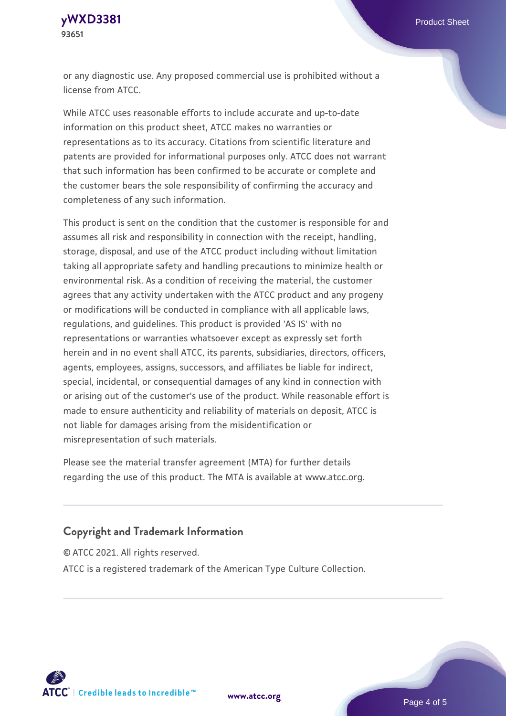**[yWXD3381](https://www.atcc.org/products/93651)** Product Sheet **93651**

or any diagnostic use. Any proposed commercial use is prohibited without a license from ATCC.

While ATCC uses reasonable efforts to include accurate and up-to-date information on this product sheet, ATCC makes no warranties or representations as to its accuracy. Citations from scientific literature and patents are provided for informational purposes only. ATCC does not warrant that such information has been confirmed to be accurate or complete and the customer bears the sole responsibility of confirming the accuracy and completeness of any such information.

This product is sent on the condition that the customer is responsible for and assumes all risk and responsibility in connection with the receipt, handling, storage, disposal, and use of the ATCC product including without limitation taking all appropriate safety and handling precautions to minimize health or environmental risk. As a condition of receiving the material, the customer agrees that any activity undertaken with the ATCC product and any progeny or modifications will be conducted in compliance with all applicable laws, regulations, and guidelines. This product is provided 'AS IS' with no representations or warranties whatsoever except as expressly set forth herein and in no event shall ATCC, its parents, subsidiaries, directors, officers, agents, employees, assigns, successors, and affiliates be liable for indirect, special, incidental, or consequential damages of any kind in connection with or arising out of the customer's use of the product. While reasonable effort is made to ensure authenticity and reliability of materials on deposit, ATCC is not liable for damages arising from the misidentification or misrepresentation of such materials.

Please see the material transfer agreement (MTA) for further details regarding the use of this product. The MTA is available at www.atcc.org.

#### **Copyright and Trademark Information**

© ATCC 2021. All rights reserved.

ATCC is a registered trademark of the American Type Culture Collection.



**[www.atcc.org](http://www.atcc.org)**